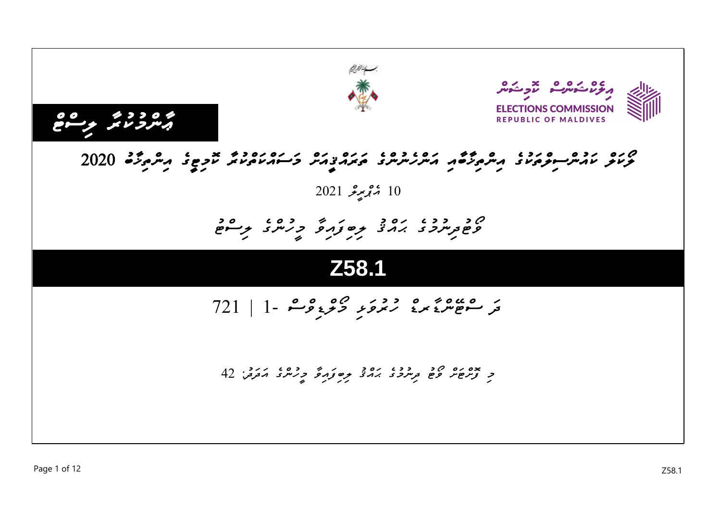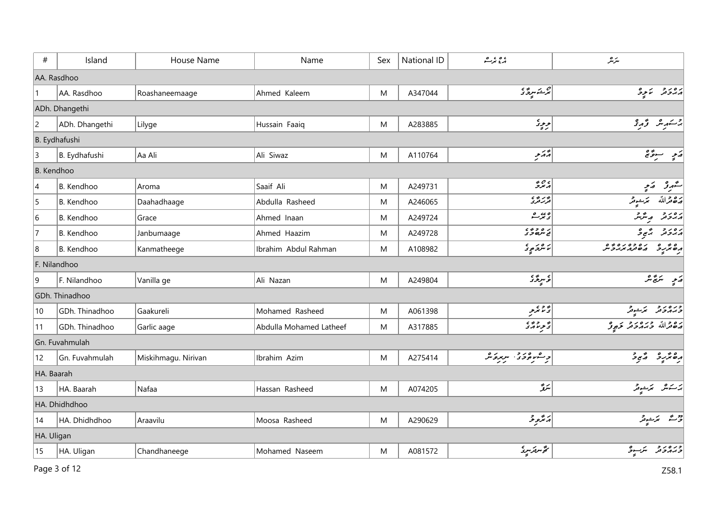| #               | Island         | House Name          | Name                    | Sex       | National ID | ، ه ، مرگ               | ىئرىتر                                    |
|-----------------|----------------|---------------------|-------------------------|-----------|-------------|-------------------------|-------------------------------------------|
|                 | AA. Rasdhoo    |                     |                         |           |             |                         |                                           |
|                 | AA. Rasdhoo    | Roashaneemaage      | Ahmed Kaleem            | M         | A347044     | ئۇيسكە مەيرىگە ئە       | دەر د ئىرو                                |
|                 | ADh. Dhangethi |                     |                         |           |             |                         |                                           |
|                 | ADh. Dhangethi | Lilyge              | Hussain Faaiq           | ${\sf M}$ | A283885     | موموتى                  | برسكهر محمرتح                             |
|                 | B. Eydhafushi  |                     |                         |           |             |                         |                                           |
| 3               | B. Eydhafushi  | Aa Ali              | Ali Siwaz               | ${\sf M}$ | A110764     | پزېرمو                  | أوسمع سوءتني                              |
| B. Kendhoo      |                |                     |                         |           |             |                         |                                           |
| 4               | B. Kendhoo     | Aroma               | Saaif Ali               | ${\sf M}$ | A249731     | ى مىرىچە<br>مەنىرى      | شەرق كەيچ                                 |
| 5               | B. Kendhoo     | Daahadhaage         | Abdulla Rasheed         | M         | A246065     | ی ر بر بر<br>تور تور    | رە قراللە مۇشوقر                          |
| $6\overline{6}$ | B. Kendhoo     | Grace               | Ahmed Inaan             | M         | A249724     | ە يەمە                  | رەرد مەشر                                 |
| 7               | B. Kendhoo     | Janbumaage          | Ahmed Haazim            | M         | A249728     | ر ه د د »<br>د سره تر د | رەر ئەي                                   |
| 8               | B. Kendhoo     | Kanmatheege         | Ibrahim Abdul Rahman    | M         | A108982     | بز چر <sub>کتم</sub> پر | ره وه ره ده.<br>پره تربر بررگ<br>وە ئەربى |
|                 | F. Nilandhoo   |                     |                         |           |             |                         |                                           |
| 9               | F. Nilandhoo   | Vanilla ge          | Ali Nazan               | ${\sf M}$ | A249804     | ء سرچری<br> حد سرچری    | أرشح المترجي                              |
|                 | GDh. Thinadhoo |                     |                         |           |             |                         |                                           |
| 10              | GDh. Thinadhoo | Gaakureli           | Mohamed Rasheed         | M         | A061398     | لخروع                   | ورەرو كرىيون                              |
| 11              | GDh. Thinadhoo | Garlic aage         | Abdulla Mohamed Latheef | M         | A317885     | ء وه ۽<br>د ويون        | ره والله ورورو دره                        |
|                 | Gn. Fuvahmulah |                     |                         |           |             |                         |                                           |
| 12              | Gn. Fuvahmulah | Miskihmagu. Nirivan | Ibrahim Azim            | M         | A275414     | وبەر ۋۇڭ سېرۇش          | مەھترىرى مەيرى                            |
| HA. Baarah      |                |                     |                         |           |             |                         |                                           |
| 13              | HA. Baarah     | Nafaa               | Hassan Rasheed          | M         | A074205     | سَرَدٌ                  | ىزىسەش بىرىشىش                            |
|                 | HA. Dhidhdhoo  |                     |                         |           |             |                         |                                           |
| 14              | HA. Dhidhdhoo  | Araavilu            | Moosa Rasheed           | ${\sf M}$ | A290629     | ە ئەتھرە قر             | رحمد المرسور                              |
| HA. Uligan      |                |                     |                         |           |             |                         |                                           |
| 15              | HA. Uligan     | Chandhaneege        | Mohamed Naseem          | M         | A081572     | گۇسىترسىگە              | ورەرو شرىدۇ                               |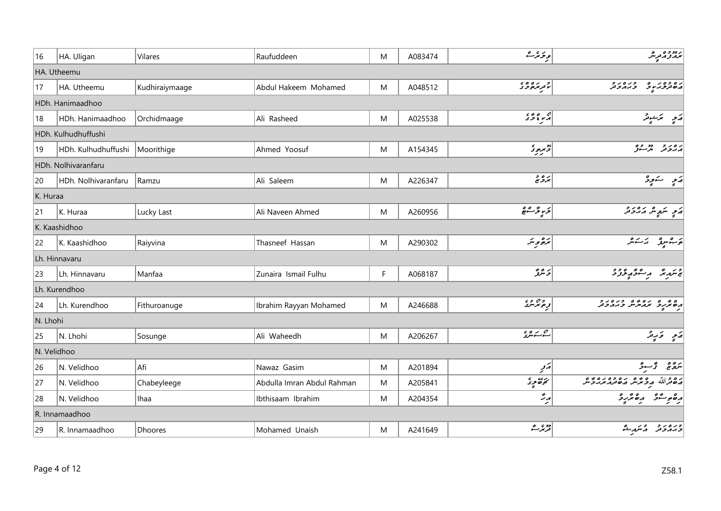| 16          | HA. Uligan          | Vilares        | Raufuddeen                 | M         | A083474 | لموخر تئر شر                     | ر دو و ه<br>بردو د مړين                  |
|-------------|---------------------|----------------|----------------------------|-----------|---------|----------------------------------|------------------------------------------|
|             | HA. Utheemu         |                |                            |           |         |                                  |                                          |
| 17          | HA. Utheemu         | Kudhiraiymaage | Abdul Hakeem Mohamed       | M         | A048512 | ۶ مربره ۶ م<br>  با مربره و د    | גם כפג עם פגם גב<br>גיסיניבג' על פגריכינ |
|             | HDh. Hanimaadhoo    |                |                            |           |         |                                  |                                          |
| 18          | HDh. Hanimaadhoo    | Orchidmaage    | Ali Rasheed                | ${\sf M}$ | A025538 | ه و و و و<br>مربع <del>د</del> د | أرشمج المركب وقرأ                        |
|             | HDh. Kulhudhuffushi |                |                            |           |         |                                  |                                          |
| 19          | HDh. Kulhudhuffushi | Moorithige     | Ahmed Yoosuf               | M         | A154345 | اده<br> خ. سرحر که               | גם ג' בר בס<br>הגבת הל-ת                 |
|             | HDh. Nolhivaranfaru |                |                            |           |         |                                  |                                          |
| 20          | HDh. Nolhivaranfaru | Ramzu          | Ali Saleem                 | M         | A226347 | بر ه د<br>مرد م                  | اړنو کوچو                                |
| K. Huraa    |                     |                |                            |           |         |                                  |                                          |
| 21          | K. Huraa            | Lucky Last     | Ali Naveen Ahmed           | M         | A260956 | ئەر ئۇرمىقى                      | ג׳בְ "תֹבְ"ת ג׳מיכת                      |
|             | K. Kaashidhoo       |                |                            |           |         |                                  |                                          |
| 22          | K. Kaashidhoo       | Raiyvina       | Thasneef Hassan            | M         | A290302 | بحركمومتر                        | ەسەسرو ئەسەھ                             |
|             | Lh. Hinnavaru       |                |                            |           |         |                                  |                                          |
| 23          | Lh. Hinnavaru       | Manfaa         | Zunaira Ismail Fulhu       | F.        | A068187 | ىز شرپى                          | ج سمد پر مشرح و د د                      |
|             | Lh. Kurendhoo       |                |                            |           |         |                                  |                                          |
| 24          | Lh. Kurendhoo       | Fithuroanuge   | Ibrahim Rayyan Mohamed     | M         | A246688 | د وړ و،                          |                                          |
| N. Lhohi    |                     |                |                            |           |         |                                  |                                          |
| 25          | N. Lhohi            | Sosunge        | Ali Waheedh                | M         | A206267 | <u>م</u> ئەيرى                   | أرشح أتربدهم                             |
| N. Velidhoo |                     |                |                            |           |         |                                  |                                          |
| 26          | N. Velidhoo         | Afi            | Nawaz Gasim                | M         | A201894 | بزو                              | سرەم قەسىر                               |
| 27          | N. Velidhoo         | Chabeyleege    | Abdulla Imran Abdul Rahman | M         | A205841 | رين<br>کوه پور                   | ره د الله محدود ده ده ده ده د            |
| 28          | N. Velidhoo         | Ihaa           | Ibthisaam Ibrahim          | M         | A204354 | وش                               | مقوشر مقترره                             |
|             | R. Innamaadhoo      |                |                            |           |         |                                  |                                          |
| 29          | R. Innamaadhoo      | Dhoores        | Mohamed Unaish             | M         | A241649 | دد ،<br>تربر ک                   | ورەرو وشمىش                              |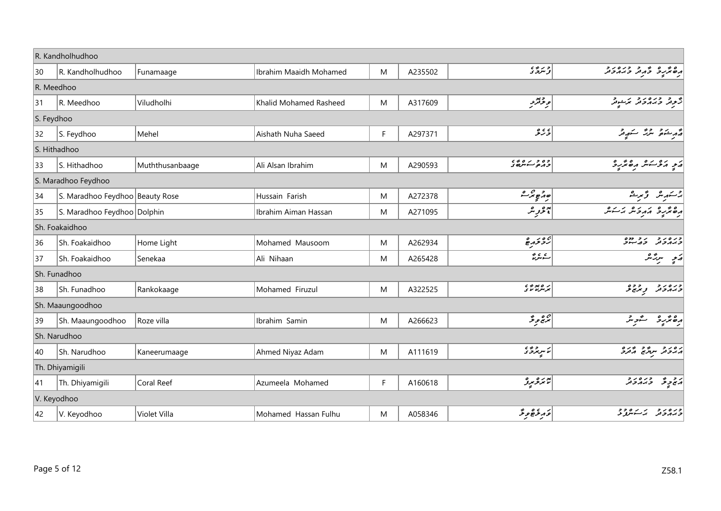|    | R. Kandholhudhoo                |                 |                        |           |         |                                      |                             |
|----|---------------------------------|-----------------|------------------------|-----------|---------|--------------------------------------|-----------------------------|
| 30 | R. Kandholhudhoo                | Funamaage       | Ibrahim Maaidh Mohamed | M         | A235502 | و پر پر پر<br>تو سرچر <sub>ک</sub>   | ת היני לתנג כמתכנ           |
|    | R. Meedhoo                      |                 |                        |           |         |                                      |                             |
| 31 | R. Meedhoo                      | Viludholhi      | Khalid Mohamed Rasheed | ${\sf M}$ | A317609 | ومحترمه                              | تحوير وبرورو برجوير         |
|    | S. Feydhoo                      |                 |                        |           |         |                                      |                             |
| 32 | S. Feydhoo                      | Mehel           | Aishath Nuha Saeed     | F         | A297371 | ی ی ه<br>حرمو                        | ە ئەستىم ئىر ئىسكىرىد       |
|    | S. Hithadhoo                    |                 |                        |           |         |                                      |                             |
| 33 | S. Hithadhoo                    | Muththusanbaage | Ali Alsan Ibrahim      | M         | A290593 | وه و د روپره<br><i>د ډې</i> سوره د   | ړې د د سند ره د در          |
|    | S. Maradhoo Feydhoo             |                 |                        |           |         |                                      |                             |
| 34 | S. Maradhoo Feydhoo Beauty Rose |                 | Hussain Farish         | ${\sf M}$ | A272378 | اھەقەھبەت                            | <br> پرسکوینگر کو موسفہ     |
| 35 | S. Maradhoo Feydhoo Dolphin     |                 | Ibrahim Aiman Hassan   | M         | A271095 | لېور پر                              | رەپزىر مەدىر مەك            |
|    | Sh. Foakaidhoo                  |                 |                        |           |         |                                      |                             |
| 36 | Sh. Foakaidhoo                  | Home Light      | Mohamed Mausoom        | M         | A262934 | كروخهام                              | כנסנכ נכסים<br>כגמכת כגיינ  |
| 37 | Sh. Foakaidhoo                  | Senekaa         | Ali Nihaan             | M         | A265428 | ے پر پر<br>سے میریز                  | روس سرگنگر                  |
|    | Sh. Funadhoo                    |                 |                        |           |         |                                      |                             |
| 38 | Sh. Funadhoo                    | Rankokaage      | Mohamed Firuzul        | M         | A322525 | ر ٥ پر د ٥<br>برس را ر               | ورەر د<br><i>دېد</i> دىرى ب |
|    | Sh. Maaungoodhoo                |                 |                        |           |         |                                      |                             |
| 39 | Sh. Maaungoodhoo                | Roze villa      | Ibrahim Samin          | M         | A266623 | ە ە<br>ئىرىج ھ <sub>ى</sub> م        | ە ھەترىر ۋ<br>سەّحە يىر     |
|    | Sh. Narudhoo                    |                 |                        |           |         |                                      |                             |
| 40 | Sh. Narudhoo                    | Kaneerumaage    | Ahmed Niyaz Adam       | M         | A111619 | ئە سەپرىرى<br>مەس <sub>ى</sub> پرىرى | גפגב יישה הבנב              |
|    | Th. Dhiyamigili                 |                 |                        |           |         |                                      |                             |
| 41 | Th. Dhiyamigili                 | Coral Reef      | Azumeela Mohamed       | F         | A160618 | #ئەۋىبەر                             | ر و دره دره                 |
|    | V. Keyodhoo                     |                 |                        |           |         |                                      |                             |
| 42 | V. Keyodhoo                     | Violet Villa    | Mohamed Hassan Fulhu   | M         | A058346 | ءَ ٻر ٿو هو ٿُر                      | ورەرو برسەروو               |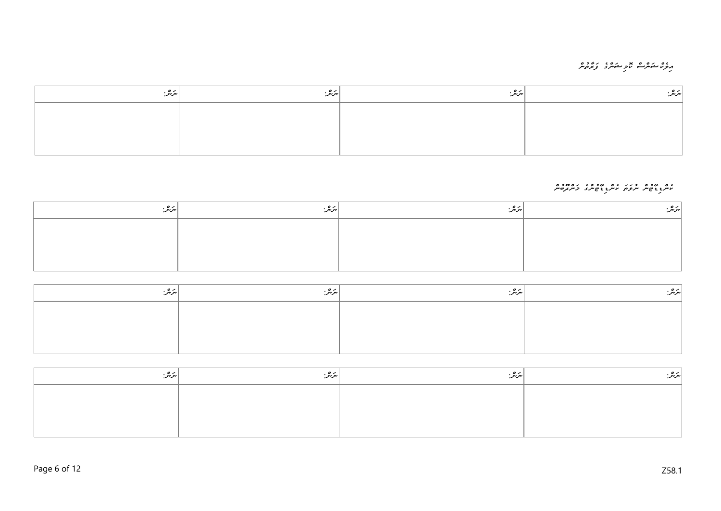## *w7qAn8m?sCw7mRo>u;wEw7mRw;sBo<*

| ' مرمر | 'يئرىثر: |
|--------|----------|
|        |          |
|        |          |
|        |          |

## *w7q9r@w7m>sCw7qHtFoFw7s;mAm=q7w7qHtFoFw7s;*

| ىر تە | $\mathcal{O} \times$<br>$\sim$ | $\sim$<br>. . | لترنثر |
|-------|--------------------------------|---------------|--------|
|       |                                |               |        |
|       |                                |               |        |
|       |                                |               |        |

| انترنثر: | $^{\circ}$ | يبرهر | $^{\circ}$<br>سرسر |
|----------|------------|-------|--------------------|
|          |            |       |                    |
|          |            |       |                    |
|          |            |       |                    |

| ' ئىرتىر: | سر سر |  |
|-----------|-------|--|
|           |       |  |
|           |       |  |
|           |       |  |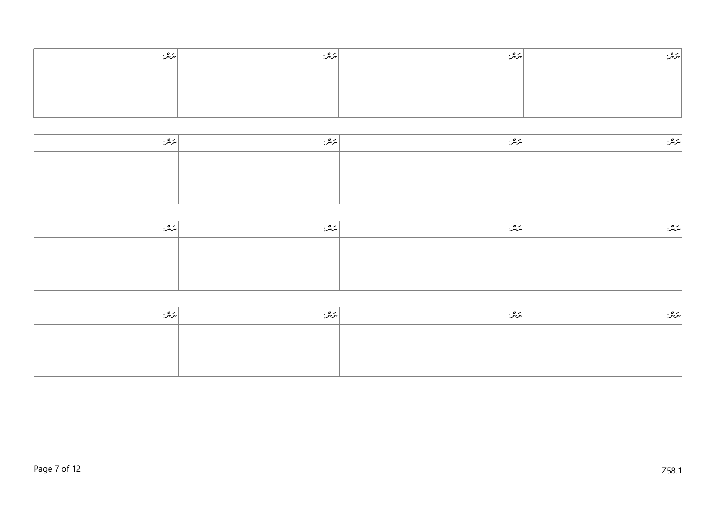| يره. | ο. | ا ير ه |  |
|------|----|--------|--|
|      |    |        |  |
|      |    |        |  |
|      |    |        |  |

| متريثر به | 。<br>'سرسر'۔ | يتزيترا | سرسر |
|-----------|--------------|---------|------|
|           |              |         |      |
|           |              |         |      |
|           |              |         |      |

| ىئرىتر. | $\sim$ | ا بر هه. | لىرىش |
|---------|--------|----------|-------|
|         |        |          |       |
|         |        |          |       |
|         |        |          |       |

| 。<br>مرس. | $\overline{\phantom{a}}$<br>مر سر | يتريثر |
|-----------|-----------------------------------|--------|
|           |                                   |        |
|           |                                   |        |
|           |                                   |        |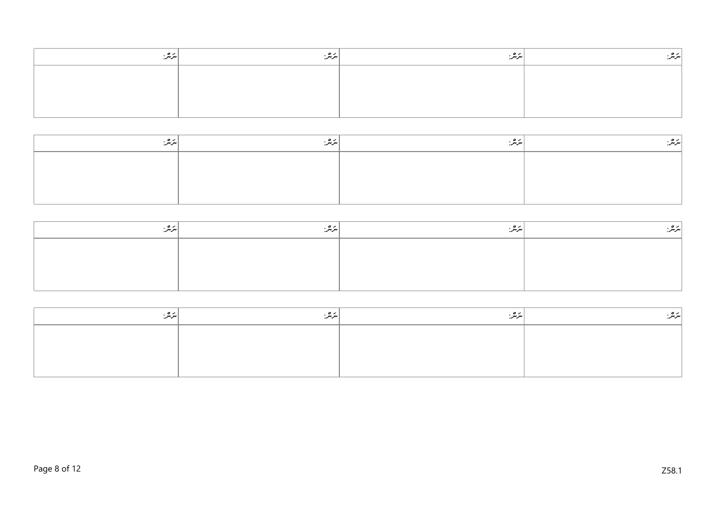| ير هو . | $\overline{\phantom{a}}$ | يرمر | اير هنه. |
|---------|--------------------------|------|----------|
|         |                          |      |          |
|         |                          |      |          |
|         |                          |      |          |

| ىر تىر: | $\circ$ $\sim$<br>" سرسر . | يترمير | o . |
|---------|----------------------------|--------|-----|
|         |                            |        |     |
|         |                            |        |     |
|         |                            |        |     |

| نتزيتر به | 。 | 。<br>سرسر. | o <i>~</i> |
|-----------|---|------------|------------|
|           |   |            |            |
|           |   |            |            |
|           |   |            |            |

|  | . ه |
|--|-----|
|  |     |
|  |     |
|  |     |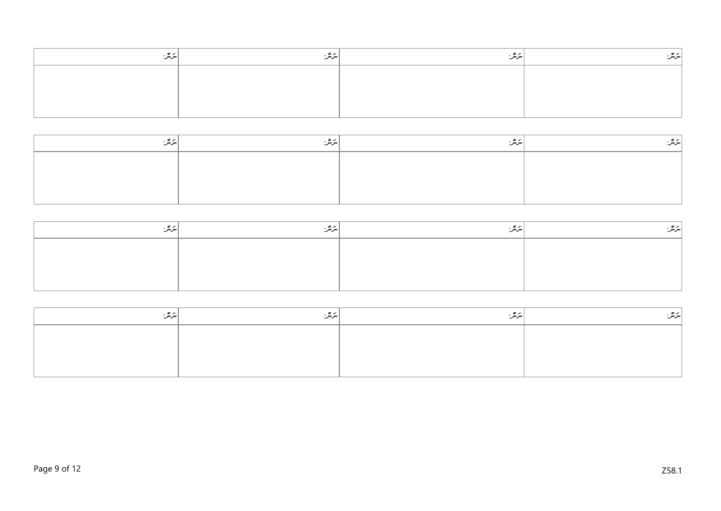| ير هو . | $\overline{\phantom{a}}$ | يرمر | اير هنه. |
|---------|--------------------------|------|----------|
|         |                          |      |          |
|         |                          |      |          |
|         |                          |      |          |

| ئىرتىر: | $\sim$<br>ا سرسر . | يئرمثر | o . |
|---------|--------------------|--------|-----|
|         |                    |        |     |
|         |                    |        |     |
|         |                    |        |     |

| نتزيتر به | 。 | 。<br>سرسر. | o <i>~</i> |
|-----------|---|------------|------------|
|           |   |            |            |
|           |   |            |            |
|           |   |            |            |

|  | . ه |
|--|-----|
|  |     |
|  |     |
|  |     |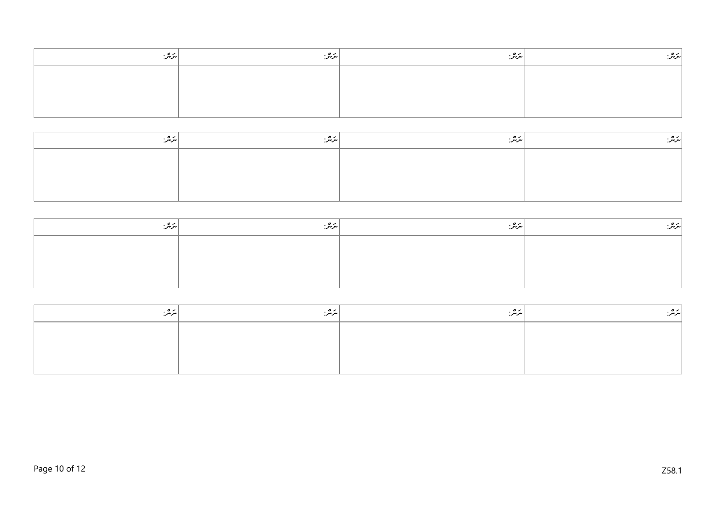| $\cdot$ | 。 | $\frac{\circ}{\cdot}$ | $\sim$<br>سرسر |
|---------|---|-----------------------|----------------|
|         |   |                       |                |
|         |   |                       |                |
|         |   |                       |                |

| يريثن | ' سرسر . |  |
|-------|----------|--|
|       |          |  |
|       |          |  |
|       |          |  |

| بر ه | 。 | $\sim$<br>َ سومس. |  |
|------|---|-------------------|--|
|      |   |                   |  |
|      |   |                   |  |
|      |   |                   |  |

| 。<br>. س | ىرىىر |  |
|----------|-------|--|
|          |       |  |
|          |       |  |
|          |       |  |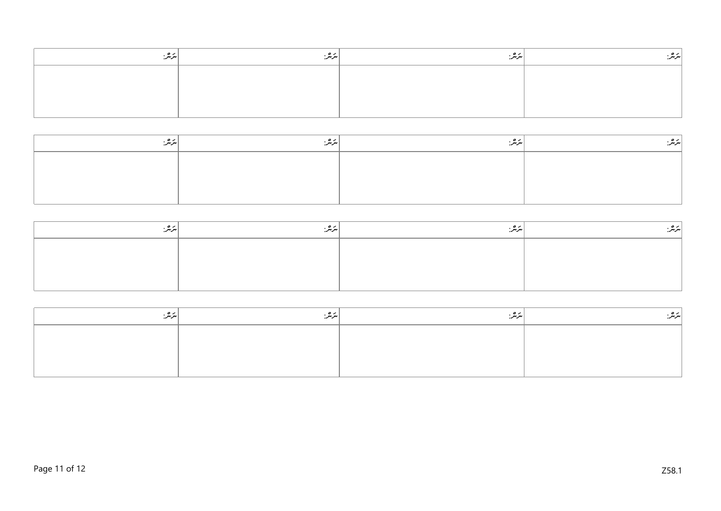| ير هو . | $\overline{\phantom{a}}$ | يرمر | اير هنه. |
|---------|--------------------------|------|----------|
|         |                          |      |          |
|         |                          |      |          |
|         |                          |      |          |

| ئىرتىر: | $\sim$<br>ا سرسر . | يئرمثر | o . |
|---------|--------------------|--------|-----|
|         |                    |        |     |
|         |                    |        |     |
|         |                    |        |     |

| الترنثر: | ' مرتكز: | الترنثر: | .,<br>سرس. |
|----------|----------|----------|------------|
|          |          |          |            |
|          |          |          |            |
|          |          |          |            |

|  | . ه |
|--|-----|
|  |     |
|  |     |
|  |     |